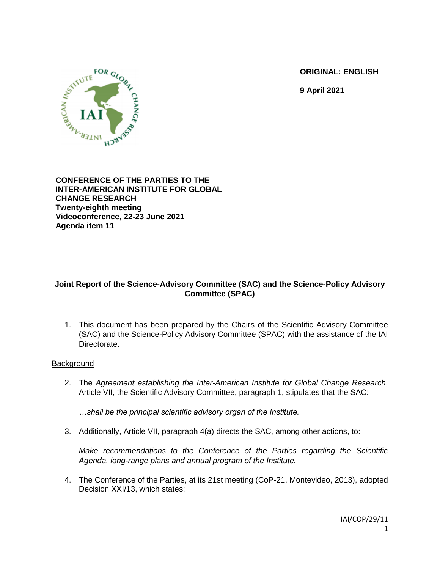**ORIGINAL: ENGLISH**

**9 April 2021**



**CONFERENCE OF THE PARTIES TO THE INTER-AMERICAN INSTITUTE FOR GLOBAL CHANGE RESEARCH Twenty-eighth meeting Videoconference, 22-23 June 2021 Agenda item 11**

## **Joint Report of the Science-Advisory Committee (SAC) and the Science-Policy Advisory Committee (SPAC)**

1. This document has been prepared by the Chairs of the Scientific Advisory Committee (SAC) and the Science-Policy Advisory Committee (SPAC) with the assistance of the IAI Directorate.

## **Background**

2. The *Agreement establishing the Inter-American Institute for Global Change Research*, Article VII, the Scientific Advisory Committee, paragraph 1, stipulates that the SAC:

*…shall be the principal scientific advisory organ of the Institute.* 

3. Additionally, Article VII, paragraph 4(a) directs the SAC, among other actions, to:

*Make recommendations to the Conference of the Parties regarding the Scientific Agenda, long-range plans and annual program of the Institute.*

4. The Conference of the Parties, at its 21st meeting (CoP-21, Montevideo, 2013), adopted Decision XXI/13, which states: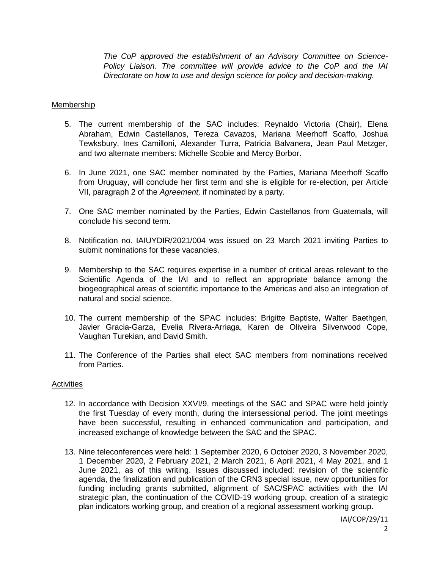*The CoP approved the establishment of an Advisory Committee on Science-Policy Liaison. The committee will provide advice to the CoP and the IAI Directorate on how to use and design science for policy and decision-making.*

### Membership

- 5. The current membership of the SAC includes: Reynaldo Victoria (Chair), Elena Abraham, Edwin Castellanos, Tereza Cavazos, Mariana Meerhoff Scaffo, Joshua Tewksbury, Ines Camilloni, Alexander Turra, Patricia Balvanera, Jean Paul Metzger, and two alternate members: Michelle Scobie and Mercy Borbor.
- 6. In June 2021, one SAC member nominated by the Parties, Mariana Meerhoff Scaffo from Uruguay, will conclude her first term and she is eligible for re-election, per Article VII, paragraph 2 of the *Agreement,* if nominated by a party.
- 7. One SAC member nominated by the Parties, Edwin Castellanos from Guatemala, will conclude his second term.
- 8. Notification no. IAIUYDIR/2021/004 was issued on 23 March 2021 inviting Parties to submit nominations for these vacancies.
- 9. Membership to the SAC requires expertise in a number of critical areas relevant to the Scientific Agenda of the IAI and to reflect an appropriate balance among the biogeographical areas of scientific importance to the Americas and also an integration of natural and social science.
- 10. The current membership of the SPAC includes: Brigitte Baptiste, Walter Baethgen, Javier Gracia-Garza, Evelia Rivera-Arriaga, Karen de Oliveira Silverwood Cope, Vaughan Turekian, and David Smith.
- 11. The Conference of the Parties shall elect SAC members from nominations received from Parties.

#### **Activities**

- 12. In accordance with Decision XXVI/9, meetings of the SAC and SPAC were held jointly the first Tuesday of every month, during the intersessional period. The joint meetings have been successful, resulting in enhanced communication and participation, and increased exchange of knowledge between the SAC and the SPAC.
- 13. Nine teleconferences were held: 1 September 2020, 6 October 2020, 3 November 2020, 1 December 2020, 2 February 2021, 2 March 2021, 6 April 2021, 4 May 2021, and 1 June 2021, as of this writing. Issues discussed included: revision of the scientific agenda, the finalization and publication of the CRN3 special issue, new opportunities for funding including grants submitted, alignment of SAC/SPAC activities with the IAI strategic plan, the continuation of the COVID-19 working group, creation of a strategic plan indicators working group, and creation of a regional assessment working group.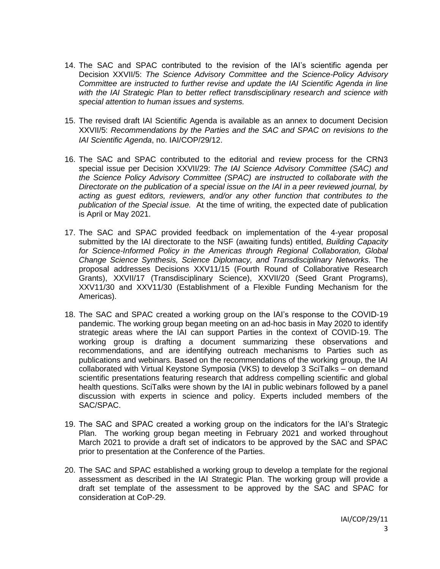- 14. The SAC and SPAC contributed to the revision of the IAI's scientific agenda per Decision XXVII/5: *The Science Advisory Committee and the Science-Policy Advisory Committee are instructed to further revise and update the IAI Scientific Agenda in line with the IAI Strategic Plan to better reflect transdisciplinary research and science with special attention to human issues and systems.*
- 15. The revised draft IAI Scientific Agenda is available as an annex to document Decision XXVII/5: *Recommendations by the Parties and the SAC and SPAC on revisions to the IAI Scientific Agenda*, no. IAI/COP/29/12.
- 16. The SAC and SPAC contributed to the editorial and review process for the CRN3 special issue per Decision XXVII/29: *The IAI Science Advisory Committee (SAC) and the Science Policy Advisory Committee (SPAC) are instructed to collaborate with the Directorate on the publication of a special issue on the IAI in a peer reviewed journal, by acting as guest editors, reviewers, and/or any other function that contributes to the publication of the Special issue.* At the time of writing, the expected date of publication is April or May 2021.
- 17. The SAC and SPAC provided feedback on implementation of the 4-year proposal submitted by the IAI directorate to the NSF (awaiting funds) entitled, *Building Capacity for Science-Informed Policy in the Americas through Regional Collaboration, Global Change Science Synthesis, Science Diplomacy, and Transdisciplinary Networks.* The proposal addresses Decisions XXV11/15 (Fourth Round of Collaborative Research Grants), XXVII/17 (Transdisciplinary Science), XXVII/20 (Seed Grant Programs), XXV11/30 and XXV11/30 (Establishment of a Flexible Funding Mechanism for the Americas).
- 18. The SAC and SPAC created a working group on the IAI's response to the COVID-19 pandemic. The working group began meeting on an ad-hoc basis in May 2020 to identify strategic areas where the IAI can support Parties in the context of COVID-19. The working group is drafting a document summarizing these observations and recommendations, and are identifying outreach mechanisms to Parties such as publications and webinars. Based on the recommendations of the working group, the IAI collaborated with Virtual Keystone Symposia (VKS) to develop 3 SciTalks – on demand scientific presentations featuring research that address compelling scientific and global health questions. SciTalks were shown by the IAI in public webinars followed by a panel discussion with experts in science and policy. Experts included members of the SAC/SPAC.
- 19. The SAC and SPAC created a working group on the indicators for the IAI's Strategic Plan. The working group began meeting in February 2021 and worked throughout March 2021 to provide a draft set of indicators to be approved by the SAC and SPAC prior to presentation at the Conference of the Parties.
- 20. The SAC and SPAC established a working group to develop a template for the regional assessment as described in the IAI Strategic Plan. The working group will provide a draft set template of the assessment to be approved by the SAC and SPAC for consideration at CoP-29.